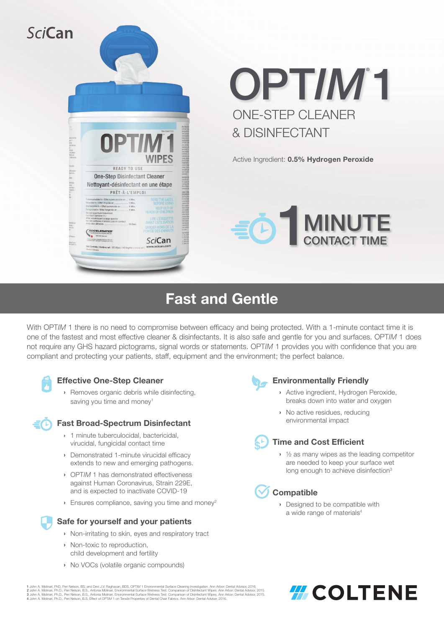

# ONE-STEP CLEANER & DISINFECTANT OPT/M<sup>\*</sup>1

Active Ingredient: 0.5% Hydrogen Peroxide



# Fast and Gentle

With OPTIM<sub>1</sub> there is no need to compromise between efficacy and being protected. With a 1-minute contact time it is one of the fastest and most effective cleaner & disinfectants. It is also safe and gentle for you and surfaces. OPT*IM* 1 does not require any GHS hazard pictograms, signal words or statements. OPT*IM* 1 provides you with confidence that you are compliant and protecting your patients, staff, equipment and the environment; the perfect balance.



## Effective One-Step Cleaner

› Removes organic debris while disinfecting, saving you time and money<sup>1</sup>

## Fast Broad-Spectrum Disinfectant

- › 1 minute tuberculocidal, bactericidal, virucidal, fungicidal contact time
- › Demonstrated 1-minute virucidal efficacy extends to new and emerging pathogens.
- › OPT*IM* 1 has demonstrated effectiveness against Human Coronavirus, Strain 229E, and is expected to inactivate COVID-19
- **Ensures compliance, saving you time and money<sup>2</sup>**



# Safe for yourself and your patients

- › Non-irritating to skin, eyes and respiratory tract
- › Non-toxic to reproduction, child development and fertility
- › No VOCs (volatile organic compounds)



#### Environmentally Friendly

- Active ingredient, Hydrogen Peroxide, breaks down into water and oxygen
- › No active residues, reducing environmental impact



# Time and Cost Efficient

› ½ as many wipes as the leading competitor are needed to keep your surface wet long enough to achieve disinfection<sup>3</sup>

# **Compatible**

› Designed to be compatible with a wide range of materials<sup>4</sup>